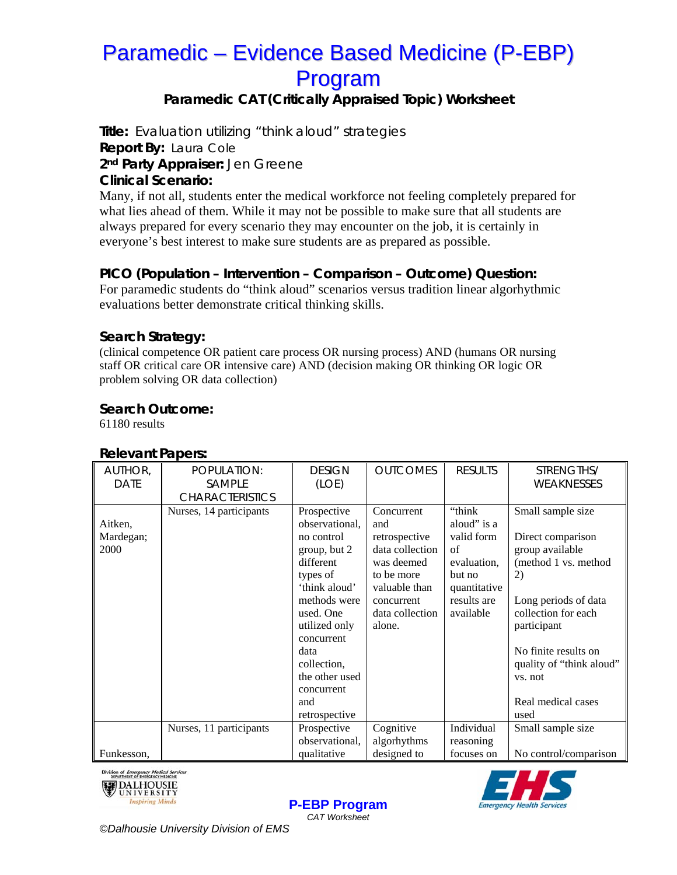# Paramedic – Evidence Based Medicine (P-EBP) Program

## **Paramedic CAT (Critically Appraised Topic) Worksheet**

**Title:** Evaluation utilizing "think aloud" strategies **Report By:** Laura Cole **2nd Party Appraiser:** Jen Greene **Clinical Scenario:** 

Many, if not all, students enter the medical workforce not feeling completely prepared for what lies ahead of them. While it may not be possible to make sure that all students are always prepared for every scenario they may encounter on the job, it is certainly in everyone's best interest to make sure students are as prepared as possible.

### **PICO (Population – Intervention – Comparison – Outcome) Question:**

For paramedic students do "think aloud" scenarios versus tradition linear algorhythmic evaluations better demonstrate critical thinking skills.

### **Search Strategy:**

(clinical competence OR patient care process OR nursing process) AND (humans OR nursing staff OR critical care OR intensive care) AND (decision making OR thinking OR logic OR problem solving OR data collection)

### **Search Outcome:**

61180 results

#### AUTHOR, DATE POPULATION: SAMPLE **CHARACTERISTICS** DESIGN (LOE) OUTCOMES RESULTS STRENGTHS/ WEAKNESSES Aitken, Mardegan; 2000 Nurses, 14 participants Prospective observational, no control group, but 2 different types of 'think aloud' methods were used. One utilized only concurrent data collection, the other used concurrent and retrospective Concurrent and retrospective data collection was deemed to be more valuable than concurrent data collection alone. "think aloud" is a valid form of evaluation, but no quantitative results are available Small sample size Direct comparison group available (method 1 vs. method 2) Long periods of data collection for each participant No finite results on quality of "think aloud" vs. not Real medical cases used Funkesson, Nurses, 11 participants Prospective observational, qualitative Cognitive algorhythms designed to Individual reasoning focuses on Small sample size No control/comparison

#### **Relevant Papers:**





**P-EBP Program** *CAT Worksheet* 

*©Dalhousie University Division of EMS*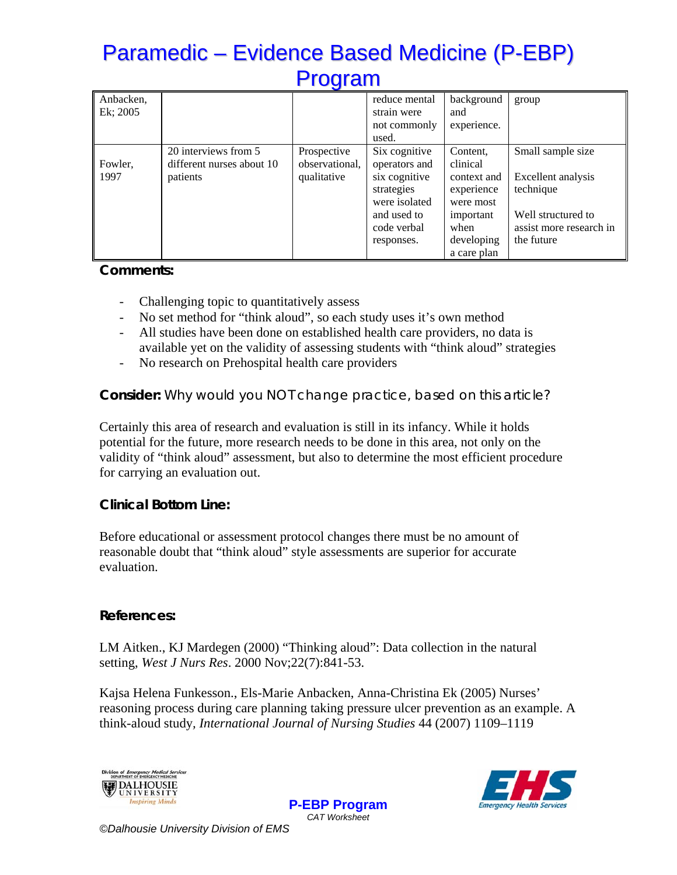# Paramedic – Evidence Based Medicine (P-EBP) Program

| Anbacken,<br>Ek; 2005 |                           |                | reduce mental<br>strain were | background<br>and | group                   |
|-----------------------|---------------------------|----------------|------------------------------|-------------------|-------------------------|
|                       |                           |                | not commonly                 | experience.       |                         |
|                       | 20 interviews from 5      | Prospective    | used.<br>Six cognitive       | Content,          | Small sample size       |
| Fowler,               | different nurses about 10 | observational, | operators and                | clinical          |                         |
| 1997                  | patients                  | qualitative    | six cognitive                | context and       | Excellent analysis      |
|                       |                           |                | strategies                   | experience        | technique               |
|                       |                           |                | were isolated<br>and used to | were most         | Well structured to      |
|                       |                           |                | code verbal                  | important<br>when | assist more research in |
|                       |                           |                | responses.                   | developing        | the future              |
|                       |                           |                |                              | a care plan       |                         |

### **Comments:**

- Challenging topic to quantitatively assess
- No set method for "think aloud", so each study uses it's own method
- All studies have been done on established health care providers, no data is available yet on the validity of assessing students with "think aloud" strategies
- No research on Prehospital health care providers

### **Consider:** *Why would you NOT change practice, based on this article?*

Certainly this area of research and evaluation is still in its infancy. While it holds potential for the future, more research needs to be done in this area, not only on the validity of "think aloud" assessment, but also to determine the most efficient procedure for carrying an evaluation out.

### **Clinical Bottom Line:**

Before educational or assessment protocol changes there must be no amount of reasonable doubt that "think aloud" style assessments are superior for accurate evaluation.

### **References:**

LM Aitken., KJ Mardegen (2000) "Thinking aloud": Data collection in the natural setting, *West J Nurs Res*. 2000 Nov;22(7):841-53.

Kajsa Helena Funkesson., Els-Marie Anbacken, Anna-Christina Ek (2005) Nurses' reasoning process during care planning taking pressure ulcer prevention as an example. A think-aloud study*, International Journal of Nursing Studies* 44 (2007) 1109–1119

> **P-EBP Program** *CAT Worksheet*





*©Dalhousie University Division of EMS*